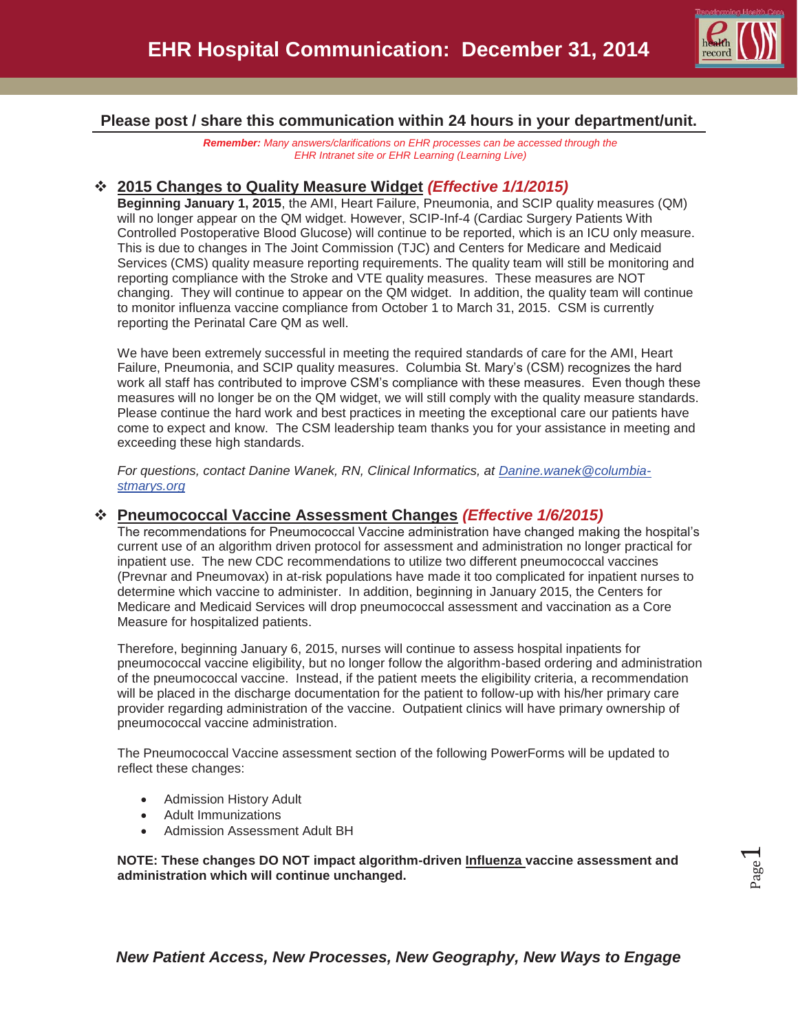

## **Please post / share this communication within 24 hours in your department/unit.**

*Remember: Many answers/clarifications on EHR processes can be accessed through the EHR Intranet site or EHR Learning (Learning Live)* 

## **2015 Changes to Quality Measure Widget** *(Effective 1/1/2015)*

**Beginning January 1, 2015**, the AMI, Heart Failure, Pneumonia, and SCIP quality measures (QM) will no longer appear on the QM widget. However, SCIP-Inf-4 (Cardiac Surgery Patients With Controlled Postoperative Blood Glucose) will continue to be reported, which is an ICU only measure. This is due to changes in The Joint Commission (TJC) and Centers for Medicare and Medicaid Services (CMS) quality measure reporting requirements. The quality team will still be monitoring and reporting compliance with the Stroke and VTE quality measures. These measures are NOT changing. They will continue to appear on the QM widget. In addition, the quality team will continue to monitor influenza vaccine compliance from October 1 to March 31, 2015. CSM is currently reporting the Perinatal Care QM as well.

We have been extremely successful in meeting the required standards of care for the AMI, Heart Failure, Pneumonia, and SCIP quality measures. Columbia St. Mary's (CSM) recognizes the hard work all staff has contributed to improve CSM's compliance with these measures. Even though these measures will no longer be on the QM widget, we will still comply with the quality measure standards. Please continue the hard work and best practices in meeting the exceptional care our patients have come to expect and know. The CSM leadership team thanks you for your assistance in meeting and exceeding these high standards.

*For questions, contact Danine Wanek, RN, Clinical Informatics, at Danine.wanek@columbiastmarys.org*

## **Pneumococcal Vaccine Assessment Changes** *(Effective 1/6/2015)*

The recommendations for Pneumococcal Vaccine administration have changed making the hospital's current use of an algorithm driven protocol for assessment and administration no longer practical for inpatient use. The new CDC recommendations to utilize two different pneumococcal vaccines (Prevnar and Pneumovax) in at-risk populations have made it too complicated for inpatient nurses to determine which vaccine to administer. In addition, beginning in January 2015, the Centers for Medicare and Medicaid Services will drop pneumococcal assessment and vaccination as a Core Measure for hospitalized patients.

Therefore, beginning January 6, 2015, nurses will continue to assess hospital inpatients for pneumococcal vaccine eligibility, but no longer follow the algorithm-based ordering and administration of the pneumococcal vaccine. Instead, if the patient meets the eligibility criteria, a recommendation will be placed in the discharge documentation for the patient to follow-up with his/her primary care provider regarding administration of the vaccine. Outpatient clinics will have primary ownership of pneumococcal vaccine administration.

The Pneumococcal Vaccine assessment section of the following PowerForms will be updated to reflect these changes:

- Admission History Adult
- Adult Immunizations
- Admission Assessment Adult BH

**NOTE: These changes DO NOT impact algorithm-driven Influenza vaccine assessment and administration which will continue unchanged.**